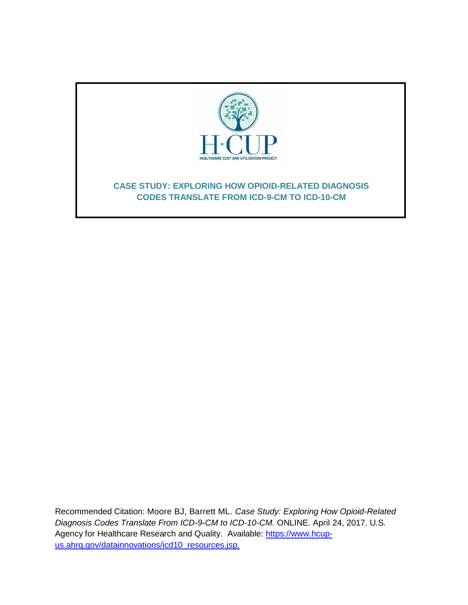

# **CASE STUDY: EXPLORING HOW OPIOID-RELATED DIAGNOSIS CODES TRANSLATE FROM ICD-9-CM TO ICD-10-CM**

Recommended Citation: Moore BJ, Barrett ML. *Case Study: Exploring How Opioid-Related Diagnosis Codes Translate From ICD-9-CM to ICD-10-CM.* ONLINE. April 24, 2017. U.S. Agency for Healthcare Research and Quality. Available: [https://www.hcup](http://www.hcup-us.ahrq.gov/reports/methods/methods.jsp)[us.ahrq.gov/datainnovations/icd10\\_resources.jsp.](http://www.hcup-us.ahrq.gov/reports/methods/methods.jsp)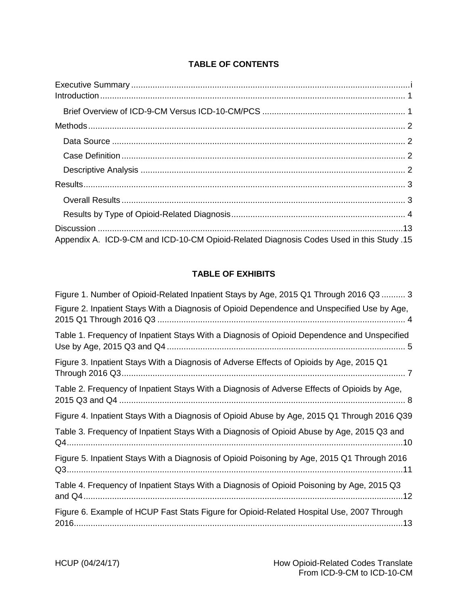### **TABLE OF CONTENTS**

| Appendix A. ICD-9-CM and ICD-10-CM Opioid-Related Diagnosis Codes Used in this Study .15 |
|------------------------------------------------------------------------------------------|

### **TABLE OF EXHIBITS**

| Figure 1. Number of Opioid-Related Inpatient Stays by Age, 2015 Q1 Through 2016 Q3  3        |
|----------------------------------------------------------------------------------------------|
| Figure 2. Inpatient Stays With a Diagnosis of Opioid Dependence and Unspecified Use by Age,  |
| Table 1. Frequency of Inpatient Stays With a Diagnosis of Opioid Dependence and Unspecified  |
| Figure 3. Inpatient Stays With a Diagnosis of Adverse Effects of Opioids by Age, 2015 Q1     |
| Table 2. Frequency of Inpatient Stays With a Diagnosis of Adverse Effects of Opioids by Age, |
| Figure 4. Inpatient Stays With a Diagnosis of Opioid Abuse by Age, 2015 Q1 Through 2016 Q39  |
| Table 3. Frequency of Inpatient Stays With a Diagnosis of Opioid Abuse by Age, 2015 Q3 and   |
| Figure 5. Inpatient Stays With a Diagnosis of Opioid Poisoning by Age, 2015 Q1 Through 2016  |
| Table 4. Frequency of Inpatient Stays With a Diagnosis of Opioid Poisoning by Age, 2015 Q3   |
| Figure 6. Example of HCUP Fast Stats Figure for Opioid-Related Hospital Use, 2007 Through    |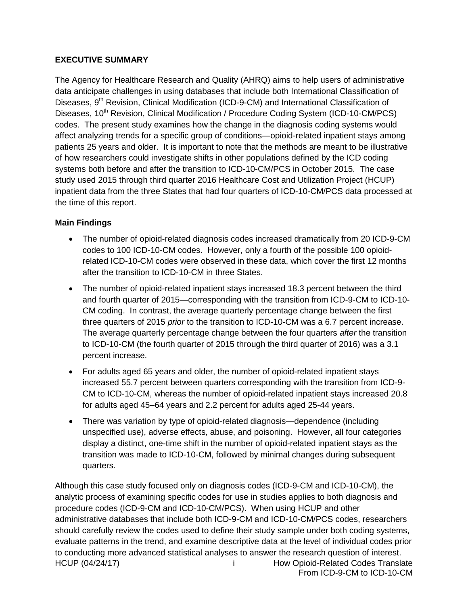#### <span id="page-2-0"></span>**EXECUTIVE SUMMARY**

The Agency for Healthcare Research and Quality (AHRQ) aims to help users of administrative data anticipate challenges in using databases that include both International Classification of Diseases, 9<sup>th</sup> Revision, Clinical Modification (ICD-9-CM) and International Classification of Diseases, 10<sup>th</sup> Revision, Clinical Modification / Procedure Coding System (ICD-10-CM/PCS) codes. The present study examines how the change in the diagnosis coding systems would affect analyzing trends for a specific group of conditions—opioid-related inpatient stays among patients 25 years and older. It is important to note that the methods are meant to be illustrative of how researchers could investigate shifts in other populations defined by the ICD coding systems both before and after the transition to ICD-10-CM/PCS in October 2015. The case study used 2015 through third quarter 2016 Healthcare Cost and Utilization Project (HCUP) inpatient data from the three States that had four quarters of ICD-10-CM/PCS data processed at the time of this report.

#### **Main Findings**

- The number of opioid-related diagnosis codes increased dramatically from 20 ICD-9-CM codes to 100 ICD-10-CM codes. However, only a fourth of the possible 100 opioidrelated ICD-10-CM codes were observed in these data, which cover the first 12 months after the transition to ICD-10-CM in three States.
- The number of opioid-related inpatient stays increased 18.3 percent between the third and fourth quarter of 2015—corresponding with the transition from ICD-9-CM to ICD-10- CM coding. In contrast, the average quarterly percentage change between the first three quarters of 2015 *prior* to the transition to ICD-10-CM was a 6.7 percent increase. The average quarterly percentage change between the four quarters *after* the transition to ICD-10-CM (the fourth quarter of 2015 through the third quarter of 2016) was a 3.1 percent increase.
- For adults aged 65 years and older, the number of opioid-related inpatient stays increased 55.7 percent between quarters corresponding with the transition from ICD-9- CM to ICD-10-CM, whereas the number of opioid-related inpatient stays increased 20.8 for adults aged 45–64 years and 2.2 percent for adults aged 25-44 years.
- There was variation by type of opioid-related diagnosis—dependence (including unspecified use), adverse effects, abuse, and poisoning. However, all four categories display a distinct, one-time shift in the number of opioid-related inpatient stays as the transition was made to ICD-10-CM, followed by minimal changes during subsequent quarters.

HCUP (04/24/17) i How Opioid-Related Codes Translate Although this case study focused only on diagnosis codes (ICD-9-CM and ICD-10-CM), the analytic process of examining specific codes for use in studies applies to both diagnosis and procedure codes (ICD-9-CM and ICD-10-CM/PCS). When using HCUP and other administrative databases that include both ICD-9-CM and ICD-10-CM/PCS codes, researchers should carefully review the codes used to define their study sample under both coding systems, evaluate patterns in the trend, and examine descriptive data at the level of individual codes prior to conducting more advanced statistical analyses to answer the research question of interest.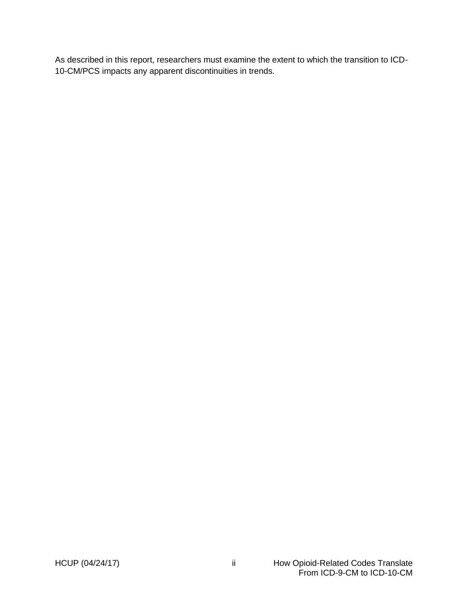As described in this report, researchers must examine the extent to which the transition to ICD-10-CM/PCS impacts any apparent discontinuities in trends.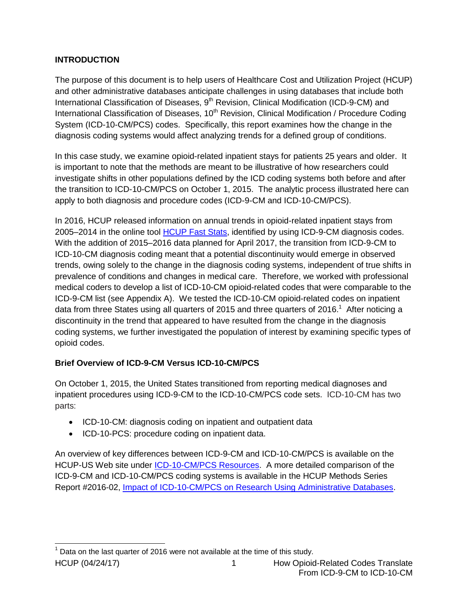# <span id="page-4-0"></span>**INTRODUCTION**

The purpose of this document is to help users of Healthcare Cost and Utilization Project (HCUP) and other administrative databases anticipate challenges in using databases that include both International Classification of Diseases,  $9<sup>th</sup>$  Revision, Clinical Modification (ICD-9-CM) and International Classification of Diseases, 10<sup>th</sup> Revision, Clinical Modification / Procedure Coding System (ICD-10-CM/PCS) codes. Specifically, this report examines how the change in the diagnosis coding systems would affect analyzing trends for a defined group of conditions.

In this case study, we examine opioid-related inpatient stays for patients 25 years and older. It is important to note that the methods are meant to be illustrative of how researchers could investigate shifts in other populations defined by the ICD coding systems both before and after the transition to ICD-10-CM/PCS on October 1, 2015. The analytic process illustrated here can apply to both diagnosis and procedure codes (ICD-9-CM and ICD-10-CM/PCS).

In 2016, HCUP released information on annual trends in opioid-related inpatient stays from 2005–2014 in the online tool [HCUP Fast Stats,](https://www.hcup-us.ahrq.gov/faststats/landing.jsp) identified by using ICD-9-CM diagnosis codes. With the addition of 2015–2016 data planned for April 2017, the transition from ICD-9-CM to ICD-10-CM diagnosis coding meant that a potential discontinuity would emerge in observed trends, owing solely to the change in the diagnosis coding systems, independent of true shifts in prevalence of conditions and changes in medical care. Therefore, we worked with professional medical coders to develop a list of ICD-10-CM opioid-related codes that were comparable to the ICD-9-CM list (see Appendix A). We tested the ICD-10-CM opioid-related codes on inpatient data from three States using all quarters of 2015 and three quarters of 2016.<sup>1</sup> After noticing a discontinuity in the trend that appeared to have resulted from the change in the diagnosis coding systems, we further investigated the population of interest by examining specific types of opioid codes.

# <span id="page-4-1"></span>**Brief Overview of ICD-9-CM Versus ICD-10-CM/PCS**

On October 1, 2015, the United States transitioned from reporting medical diagnoses and inpatient procedures using ICD-9-CM to the ICD-10-CM/PCS code sets. ICD-10-CM has two parts:

- ICD-10-CM: diagnosis coding on inpatient and outpatient data
- ICD-10-PCS: procedure coding on inpatient data.

An overview of key differences between ICD-9-CM and ICD-10-CM/PCS is available on the HCUP-US Web site under [ICD-10-CM/PCS Resources.](https://www.hcup-us.ahrq.gov/datainnovations/icd10_resources.jsp) A more detailed comparison of the ICD-9-CM and ICD-10-CM/PCS coding systems is available in the HCUP Methods Series Report #2016-02, [Impact of ICD-10-CM/PCS on Research Using Administrative Databases.](https://www.hcup-us.ahrq.gov/reports/methods/2016-02.pdf)

 $\overline{\phantom{a}}$ 

HCUP (04/24/17) 1 How Opioid-Related Codes Translate  $1$  Data on the last quarter of 2016 were not available at the time of this study.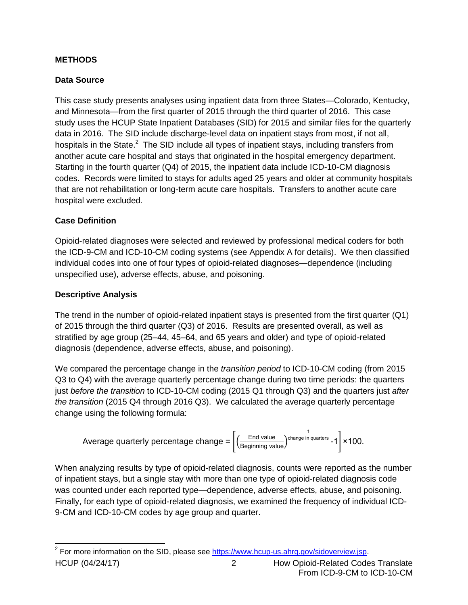# <span id="page-5-0"></span>**METHODS**

# <span id="page-5-1"></span>**Data Source**

This case study presents analyses using inpatient data from three States—Colorado, Kentucky, and Minnesota—from the first quarter of 2015 through the third quarter of 2016. This case study uses the HCUP State Inpatient Databases (SID) for 2015 and similar files for the quarterly data in 2016. The SID include discharge-level data on inpatient stays from most, if not all, hospitals in the State.<sup>2</sup> The SID include all types of inpatient stays, including transfers from another acute care hospital and stays that originated in the hospital emergency department. Starting in the fourth quarter (Q4) of 2015, the inpatient data include ICD-10-CM diagnosis codes. Records were limited to stays for adults aged 25 years and older at community hospitals that are not rehabilitation or long-term acute care hospitals. Transfers to another acute care hospital were excluded.

# <span id="page-5-2"></span>**Case Definition**

Opioid-related diagnoses were selected and reviewed by professional medical coders for both the ICD-9-CM and ICD-10-CM coding systems (see Appendix A for details). We then classified individual codes into one of four types of opioid-related diagnoses—dependence (including unspecified use), adverse effects, abuse, and poisoning.

### <span id="page-5-3"></span>**Descriptive Analysis**

The trend in the number of opioid-related inpatient stays is presented from the first quarter (Q1) of 2015 through the third quarter (Q3) of 2016. Results are presented overall, as well as stratified by age group (25–44, 45–64, and 65 years and older) and type of opioid-related diagnosis (dependence, adverse effects, abuse, and poisoning).

We compared the percentage change in the *transition period* to ICD-10-CM coding (from 2015 Q3 to Q4) with the average quarterly percentage change during two time periods: the quarters just *before the transition* to ICD-10-CM coding (2015 Q1 through Q3) and the quarters just *after the transition* (2015 Q4 through 2016 Q3). We calculated the average quarterly percentage change using the following formula:

Average quarterly percentage change = 
$$
\left[ \left( \frac{\text{End value}}{\text{Beginning value}} \right)^{\frac{1}{\text{change in quarters}} - 1} \right] \times 100.
$$

When analyzing results by type of opioid-related diagnosis, counts were reported as the number of inpatient stays, but a single stay with more than one type of opioid-related diagnosis code was counted under each reported type—dependence, adverse effects, abuse, and poisoning. Finally, for each type of opioid-related diagnosis, we examined the frequency of individual ICD-9-CM and ICD-10-CM codes by age group and quarter.

HCUP (04/24/17) 2 How Opioid-Related Codes Translate 2 For more information on the SID, please see [https://www.hcup-us.ahrq.gov/sidoverview.jsp.](https://www.hcup-us.ahrq.gov/sidoverview.jsp)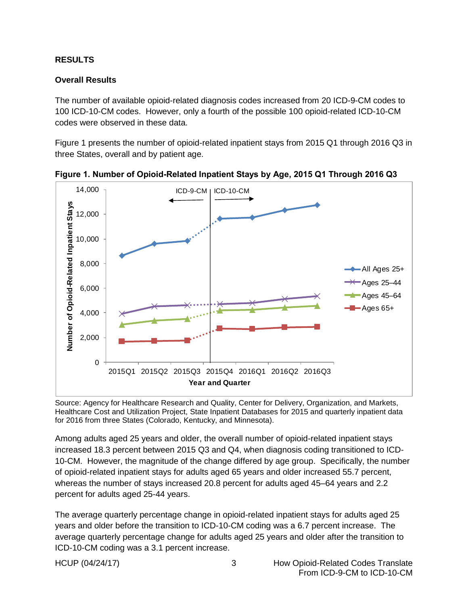### <span id="page-6-0"></span>**RESULTS**

### <span id="page-6-1"></span>**Overall Results**

The number of available opioid-related diagnosis codes increased from 20 ICD-9-CM codes to 100 ICD-10-CM codes. However, only a fourth of the possible 100 opioid-related ICD-10-CM codes were observed in these data.

Figure 1 presents the number of opioid-related inpatient stays from 2015 Q1 through 2016 Q3 in three States, overall and by patient age.

<span id="page-6-2"></span>

**Figure 1. Number of Opioid-Related Inpatient Stays by Age, 2015 Q1 Through 2016 Q3**

Source: Agency for Healthcare Research and Quality, Center for Delivery, Organization, and Markets, Healthcare Cost and Utilization Project, State Inpatient Databases for 2015 and quarterly inpatient data for 2016 from three States (Colorado, Kentucky, and Minnesota).

Among adults aged 25 years and older, the overall number of opioid-related inpatient stays increased 18.3 percent between 2015 Q3 and Q4, when diagnosis coding transitioned to ICD-10-CM. However, the magnitude of the change differed by age group. Specifically, the number of opioid-related inpatient stays for adults aged 65 years and older increased 55.7 percent, whereas the number of stays increased 20.8 percent for adults aged 45–64 years and 2.2 percent for adults aged 25-44 years.

The average quarterly percentage change in opioid-related inpatient stays for adults aged 25 years and older before the transition to ICD-10-CM coding was a 6.7 percent increase. The average quarterly percentage change for adults aged 25 years and older after the transition to ICD-10-CM coding was a 3.1 percent increase.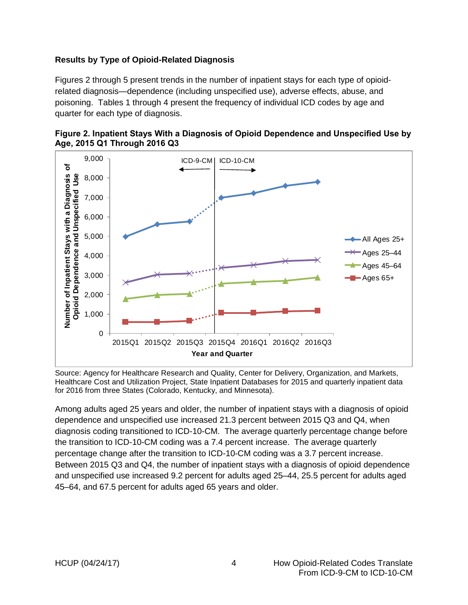## <span id="page-7-0"></span>**Results by Type of Opioid-Related Diagnosis**

Figures 2 through 5 present trends in the number of inpatient stays for each type of opioidrelated diagnosis—dependence (including unspecified use), adverse effects, abuse, and poisoning. Tables 1 through 4 present the frequency of individual ICD codes by age and quarter for each type of diagnosis.

<span id="page-7-1"></span>



Source: Agency for Healthcare Research and Quality, Center for Delivery, Organization, and Markets, Healthcare Cost and Utilization Project, State Inpatient Databases for 2015 and quarterly inpatient data for 2016 from three States (Colorado, Kentucky, and Minnesota).

Among adults aged 25 years and older, the number of inpatient stays with a diagnosis of opioid dependence and unspecified use increased 21.3 percent between 2015 Q3 and Q4, when diagnosis coding transitioned to ICD-10-CM. The average quarterly percentage change before the transition to ICD-10-CM coding was a 7.4 percent increase. The average quarterly percentage change after the transition to ICD-10-CM coding was a 3.7 percent increase. Between 2015 Q3 and Q4, the number of inpatient stays with a diagnosis of opioid dependence and unspecified use increased 9.2 percent for adults aged 25–44, 25.5 percent for adults aged 45–64, and 67.5 percent for adults aged 65 years and older.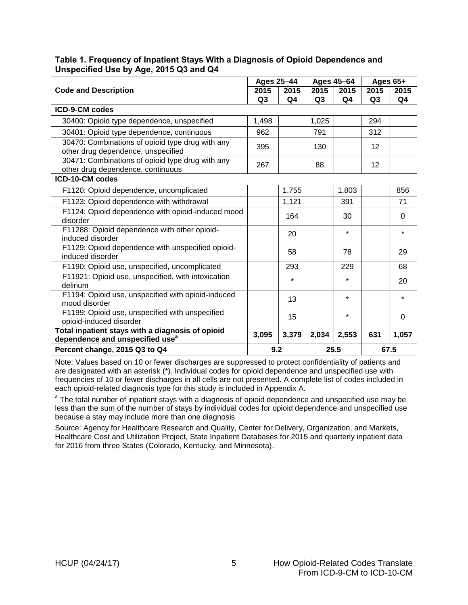<span id="page-8-0"></span>

| Table 1. Frequency of Inpatient Stays With a Diagnosis of Opioid Dependence and |  |
|---------------------------------------------------------------------------------|--|
| Unspecified Use by Age, 2015 Q3 and Q4                                          |  |

|                                                                                       |                | <b>Ages 25-44</b> |                | <b>Ages 45-64</b> |                | Ages 65+ |  |
|---------------------------------------------------------------------------------------|----------------|-------------------|----------------|-------------------|----------------|----------|--|
| <b>Code and Description</b>                                                           | 2015           | 2015              | 2015           | 2015              | 2015           | 2015     |  |
|                                                                                       | Q <sub>3</sub> | Q4                | Q <sub>3</sub> | Q4                | Q <sub>3</sub> | Q4       |  |
| ICD-9-CM codes                                                                        |                |                   |                |                   |                |          |  |
| 30400: Opioid type dependence, unspecified                                            | 1,498          |                   | 1,025          |                   | 294            |          |  |
| 30401: Opioid type dependence, continuous                                             | 962            |                   | 791            |                   | 312            |          |  |
| 30470: Combinations of opioid type drug with any                                      | 395            |                   | 130            |                   | 12             |          |  |
| other drug dependence, unspecified                                                    |                |                   |                |                   |                |          |  |
| 30471: Combinations of opioid type drug with any<br>other drug dependence, continuous | 267            |                   | 88             |                   | 12             |          |  |
| ICD-10-CM codes                                                                       |                |                   |                |                   |                |          |  |
|                                                                                       |                |                   |                |                   |                |          |  |
| F1120: Opioid dependence, uncomplicated                                               |                | 1,755             |                | 1,803             |                | 856      |  |
| F1123: Opioid dependence with withdrawal                                              |                | 1,121             |                | 391               |                | 71       |  |
| F1124: Opioid dependence with opioid-induced mood                                     |                | 164               |                | 30                |                | $\Omega$ |  |
| disorder                                                                              |                |                   |                |                   |                |          |  |
| F11288: Opioid dependence with other opioid-<br>induced disorder                      |                | 20                |                | $\star$           |                | $\star$  |  |
| F1129: Opioid dependence with unspecified opioid-                                     |                | 58                |                | 78                |                | 29       |  |
| induced disorder                                                                      |                |                   |                |                   |                |          |  |
| F1190: Opioid use, unspecified, uncomplicated                                         |                | 293               |                | 229               |                | 68       |  |
| F11921: Opioid use, unspecified, with intoxication                                    |                | $\star$           |                | $\star$           |                | 20       |  |
| delirium                                                                              |                |                   |                |                   |                |          |  |
| F1194: Opioid use, unspecified with opioid-induced<br>13<br>mood disorder             |                |                   |                | $\star$           |                | $\star$  |  |
|                                                                                       |                |                   |                |                   |                |          |  |
| F1199: Opioid use, unspecified with unspecified<br>opioid-induced disorder            |                | 15                |                | $\star$           |                | $\Omega$ |  |
| Total inpatient stays with a diagnosis of opioid                                      |                |                   |                |                   |                |          |  |
| dependence and unspecified use <sup>a</sup>                                           | 3,095          | 3,379             | 2,034          | 2,553             | 631            | 1,057    |  |
| Percent change, 2015 Q3 to Q4                                                         | 9.2            |                   |                | 25.5              |                | 67.5     |  |

Note: Values based on 10 or fewer discharges are suppressed to protect confidentiality of patients and are designated with an asterisk (\*). Individual codes for opioid dependence and unspecified use with frequencies of 10 or fewer discharges in all cells are not presented. A complete list of codes included in each opioid-related diagnosis type for this study is included in Appendix A.

<sup>a</sup> The total number of inpatient stays with a diagnosis of opioid dependence and unspecified use may be less than the sum of the number of stays by individual codes for opioid dependence and unspecified use because a stay may include more than one diagnosis.

Source: Agency for Healthcare Research and Quality, Center for Delivery, Organization, and Markets, Healthcare Cost and Utilization Project, State Inpatient Databases for 2015 and quarterly inpatient data for 2016 from three States (Colorado, Kentucky, and Minnesota).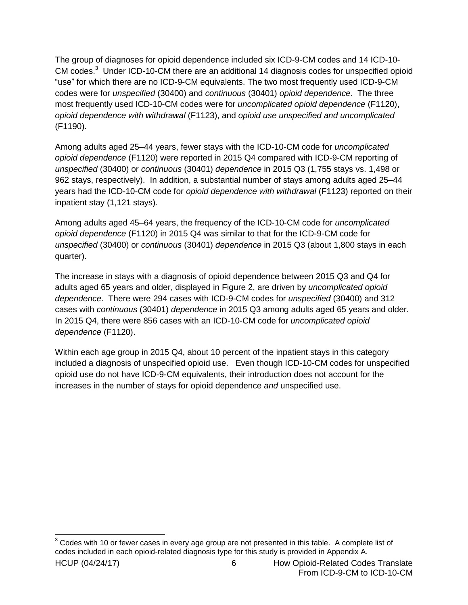The group of diagnoses for opioid dependence included six ICD-9-CM codes and 14 ICD-10- CM codes.<sup>3</sup> Under ICD-10-CM there are an additional 14 diagnosis codes for unspecified opioid "use" for which there are no ICD-9-CM equivalents. The two most frequently used ICD-9-CM codes were for *unspecified* (30400) and *continuous* (30401) *opioid dependence*. The three most frequently used ICD-10-CM codes were for *uncomplicated opioid dependence* (F1120), *opioid dependence with withdrawal* (F1123), and *opioid use unspecified and uncomplicated* (F1190).

Among adults aged 25–44 years, fewer stays with the ICD-10-CM code for *uncomplicated opioid dependence* (F1120) were reported in 2015 Q4 compared with ICD-9-CM reporting of *unspecified* (30400) or *continuous* (30401) *dependence* in 2015 Q3 (1,755 stays vs. 1,498 or 962 stays, respectively). In addition, a substantial number of stays among adults aged 25–44 years had the ICD-10-CM code for *opioid dependence with withdrawal* (F1123) reported on their inpatient stay (1,121 stays).

Among adults aged 45–64 years, the frequency of the ICD-10-CM code for *uncomplicated opioid dependence* (F1120) in 2015 Q4 was similar to that for the ICD-9-CM code for *unspecified* (30400) or *continuous* (30401) *dependence* in 2015 Q3 (about 1,800 stays in each quarter).

The increase in stays with a diagnosis of opioid dependence between 2015 Q3 and Q4 for adults aged 65 years and older, displayed in Figure 2, are driven by *uncomplicated opioid dependence*. There were 294 cases with ICD-9-CM codes for *unspecified* (30400) and 312 cases with *continuous* (30401) *dependence* in 2015 Q3 among adults aged 65 years and older. In 2015 Q4, there were 856 cases with an ICD-10-CM code for *uncomplicated opioid dependence* (F1120).

Within each age group in 2015 Q4, about 10 percent of the inpatient stays in this category included a diagnosis of unspecified opioid use. Even though ICD-10-CM codes for unspecified opioid use do not have ICD-9-CM equivalents, their introduction does not account for the increases in the number of stays for opioid dependence *and* unspecified use.

  $3$  Codes with 10 or fewer cases in every age group are not presented in this table. A complete list of codes included in each opioid-related diagnosis type for this study is provided in Appendix A.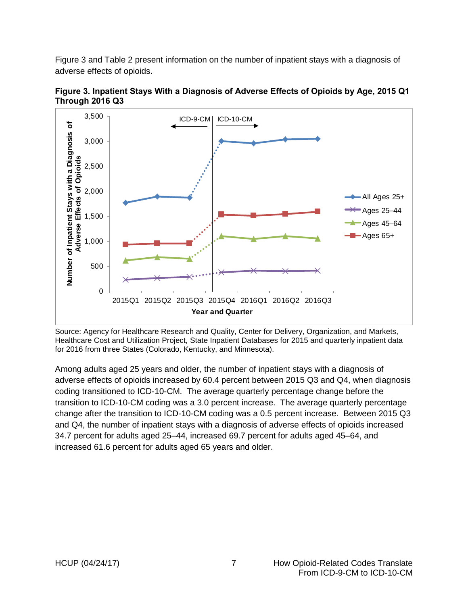Figure 3 and Table 2 present information on the number of inpatient stays with a diagnosis of adverse effects of opioids.



<span id="page-10-0"></span>

Source: Agency for Healthcare Research and Quality, Center for Delivery, Organization, and Markets, Healthcare Cost and Utilization Project, State Inpatient Databases for 2015 and quarterly inpatient data for 2016 from three States (Colorado, Kentucky, and Minnesota).

Among adults aged 25 years and older, the number of inpatient stays with a diagnosis of adverse effects of opioids increased by 60.4 percent between 2015 Q3 and Q4, when diagnosis coding transitioned to ICD-10-CM. The average quarterly percentage change before the transition to ICD-10-CM coding was a 3.0 percent increase. The average quarterly percentage change after the transition to ICD-10-CM coding was a 0.5 percent increase. Between 2015 Q3 and Q4, the number of inpatient stays with a diagnosis of adverse effects of opioids increased 34.7 percent for adults aged 25–44, increased 69.7 percent for adults aged 45–64, and increased 61.6 percent for adults aged 65 years and older.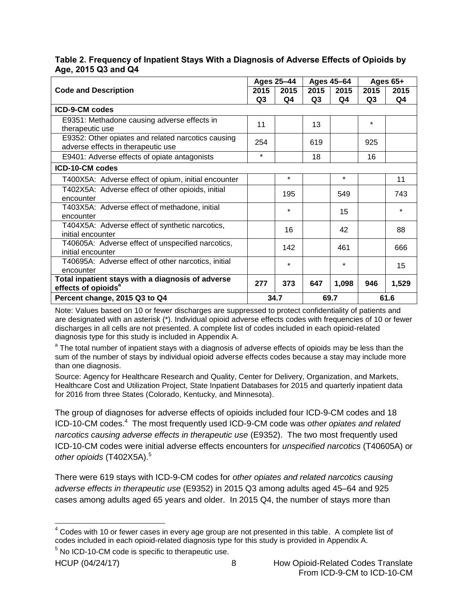#### <span id="page-11-0"></span>**Table 2. Frequency of Inpatient Stays With a Diagnosis of Adverse Effects of Opioids by Age, 2015 Q3 and Q4**

|                                                     |                | Ages 25-44 |                | Ages 45-64 |         | Ages $65+$ |  |
|-----------------------------------------------------|----------------|------------|----------------|------------|---------|------------|--|
| <b>Code and Description</b>                         | 2015           | 2015       | 2015           | 2015       | 2015    | 2015       |  |
|                                                     | Q <sub>3</sub> | Q4         | Q <sub>3</sub> | Q4         | Q3      | Q4         |  |
| <b>ICD-9-CM codes</b>                               |                |            |                |            |         |            |  |
| E9351: Methadone causing adverse effects in         | 11             |            | 13             |            | $\star$ |            |  |
| therapeutic use                                     |                |            |                |            |         |            |  |
| E9352: Other opiates and related narcotics causing  | 254            |            | 619            |            | 925     |            |  |
| adverse effects in therapeutic use                  |                |            |                |            |         |            |  |
| E9401: Adverse effects of opiate antagonists        | $\star$        |            | 18             |            | 16      |            |  |
| ICD-10-CM codes                                     |                |            |                |            |         |            |  |
| T400X5A: Adverse effect of opium, initial encounter |                | $\star$    |                | $\star$    |         | 11         |  |
| T402X5A: Adverse effect of other opioids, initial   |                | 195        |                | 549        |         | 743        |  |
| encounter                                           |                |            |                |            |         |            |  |
| T403X5A: Adverse effect of methadone, initial       |                | $\star$    |                | 15         |         | $\star$    |  |
| encounter                                           |                |            |                |            |         |            |  |
| T404X5A: Adverse effect of synthetic narcotics,     |                | 16         |                | 42         |         | 88         |  |
| initial encounter                                   |                |            |                |            |         |            |  |
| T40605A: Adverse effect of unspecified narcotics,   |                | 142        |                | 461        |         | 666        |  |
| initial encounter                                   |                |            |                |            |         |            |  |
| T40695A: Adverse effect of other narcotics, initial |                | $\star$    |                | $\star$    |         | 15         |  |
| encounter                                           |                |            |                |            |         |            |  |
| Total inpatient stays with a diagnosis of adverse   | 277            | 373        | 647            | 1,098      | 946     | 1,529      |  |
| effects of opioids <sup>a</sup>                     |                |            |                |            |         |            |  |
| Percent change, 2015 Q3 to Q4                       |                | 34.7       |                | 69.7       |         | 61.6       |  |

Note: Values based on 10 or fewer discharges are suppressed to protect confidentiality of patients and are designated with an asterisk (\*). Individual opioid adverse effects codes with frequencies of 10 or fewer discharges in all cells are not presented. A complete list of codes included in each opioid-related diagnosis type for this study is included in Appendix A.

<sup>a</sup> The total number of inpatient stays with a diagnosis of adverse effects of opioids may be less than the sum of the number of stays by individual opioid adverse effects codes because a stay may include more than one diagnosis.

Source: Agency for Healthcare Research and Quality, Center for Delivery, Organization, and Markets, Healthcare Cost and Utilization Project, State Inpatient Databases for 2015 and quarterly inpatient data for 2016 from three States (Colorado, Kentucky, and Minnesota).

The group of diagnoses for adverse effects of opioids included four ICD-9-CM codes and 18 ICD-10-CM codes. 4 The most frequently used ICD-9-CM code was *other opiates and related narcotics causing adverse effects in therapeutic use* (E9352). The two most frequently used ICD-10-CM codes were initial adverse effects encounters for *unspecified narcotics* (T40605A) or *other opioids* (T402X5A). 5

There were 619 stays with ICD-9-CM codes for *other opiates and related narcotics causing adverse effects in therapeutic use* (E9352) in 2015 Q3 among adults aged 45–64 and 925 cases among adults aged 65 years and older. In 2015 Q4, the number of stays more than

  $<sup>4</sup>$  Codes with 10 or fewer cases in every age group are not presented in this table. A complete list of</sup> codes included in each opioid-related diagnosis type for this study is provided in Appendix A.

 $5$  No ICD-10-CM code is specific to therapeutic use.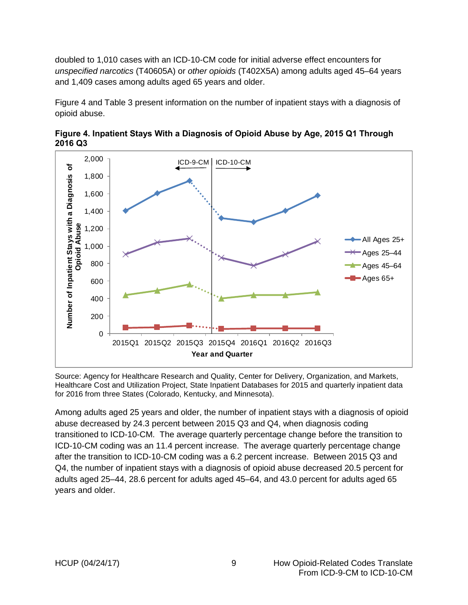doubled to 1,010 cases with an ICD-10-CM code for initial adverse effect encounters for *unspecified narcotics* (T40605A) or *other opioids* (T402X5A) among adults aged 45–64 years and 1,409 cases among adults aged 65 years and older.

Figure 4 and Table 3 present information on the number of inpatient stays with a diagnosis of opioid abuse.



<span id="page-12-0"></span>**2016 Q3**

Source: Agency for Healthcare Research and Quality, Center for Delivery, Organization, and Markets, Healthcare Cost and Utilization Project, State Inpatient Databases for 2015 and quarterly inpatient data for 2016 from three States (Colorado, Kentucky, and Minnesota).

Among adults aged 25 years and older, the number of inpatient stays with a diagnosis of opioid abuse decreased by 24.3 percent between 2015 Q3 and Q4, when diagnosis coding transitioned to ICD-10-CM. The average quarterly percentage change before the transition to ICD-10-CM coding was an 11.4 percent increase. The average quarterly percentage change after the transition to ICD-10-CM coding was a 6.2 percent increase. Between 2015 Q3 and Q4, the number of inpatient stays with a diagnosis of opioid abuse decreased 20.5 percent for adults aged 25–44, 28.6 percent for adults aged 45–64, and 43.0 percent for adults aged 65 years and older.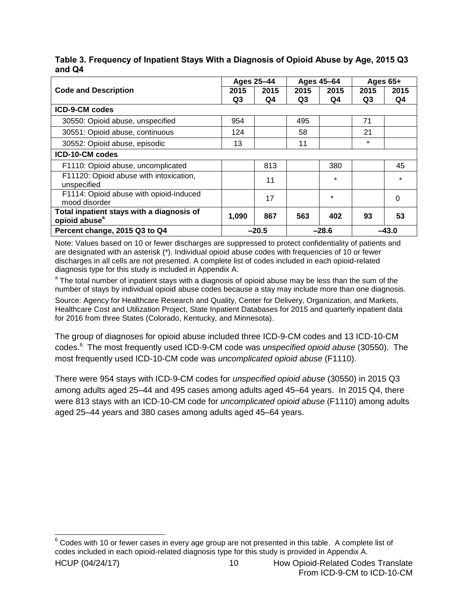<span id="page-13-0"></span>

| Table 3. Frequency of Inpatient Stays With a Diagnosis of Opioid Abuse by Age, 2015 Q3 |  |
|----------------------------------------------------------------------------------------|--|
| and Q4                                                                                 |  |

|                                                                        |       | Ages 25-44 |      | Ages 45-64 | Ages $65+$ |          |
|------------------------------------------------------------------------|-------|------------|------|------------|------------|----------|
| <b>Code and Description</b>                                            | 2015  | 2015       | 2015 | 2015       | 2015       | 2015     |
|                                                                        | Q3    | Q4         | Q3   | Q4         | Q3         | Q4       |
| ICD-9-CM codes                                                         |       |            |      |            |            |          |
| 30550: Opioid abuse, unspecified                                       | 954   |            | 495  |            | 71         |          |
| 30551: Opioid abuse, continuous                                        | 124   |            | 58   |            | 21         |          |
| 30552: Opioid abuse, episodic                                          | 13    |            | 11   |            | $\star$    |          |
| ICD-10-CM codes                                                        |       |            |      |            |            |          |
| F1110: Opioid abuse, uncomplicated                                     |       | 813        |      | 380        |            | 45       |
| F11120: Opioid abuse with intoxication,<br>unspecified                 |       | 11         |      | $\star$    |            | $\star$  |
| F1114: Opioid abuse with opioid-induced<br>mood disorder               |       | 17         |      | $\star$    |            | $\Omega$ |
| Total inpatient stays with a diagnosis of<br>opioid abuse <sup>a</sup> | 1,090 | 867        | 563  | 402        | 93         | 53       |
| Percent change, 2015 Q3 to Q4                                          |       | $-20.5$    |      | $-28.6$    |            | $-43.0$  |

Note: Values based on 10 or fewer discharges are suppressed to protect confidentiality of patients and are designated with an asterisk (\*). Individual opioid abuse codes with frequencies of 10 or fewer discharges in all cells are not presented. A complete list of codes included in each opioid-related diagnosis type for this study is included in Appendix A.

<sup>a</sup> The total number of inpatient stays with a diagnosis of opioid abuse may be less than the sum of the number of stays by individual opioid abuse codes because a stay may include more than one diagnosis. Source: Agency for Healthcare Research and Quality, Center for Delivery, Organization, and Markets, Healthcare Cost and Utilization Project, State Inpatient Databases for 2015 and quarterly inpatient data for 2016 from three States (Colorado, Kentucky, and Minnesota).

The group of diagnoses for opioid abuse included three ICD-9-CM codes and 13 ICD-10-CM codes. 6 The most frequently used ICD-9-CM code was *unspecified opioid abuse* (30550). The most frequently used ICD-10-CM code was *uncomplicated opioid abuse* (F1110).

There were 954 stays with ICD-9-CM codes for *unspecified opioid abuse* (30550) in 2015 Q3 among adults aged 25–44 and 495 cases among adults aged 45–64 years. In 2015 Q4, there were 813 stays with an ICD-10-CM code for *uncomplicated opioid abuse* (F1110) among adults aged 25–44 years and 380 cases among adults aged 45–64 years.

  $^6$  Codes with 10 or fewer cases in every age group are not presented in this table. A complete list of codes included in each opioid-related diagnosis type for this study is provided in Appendix A.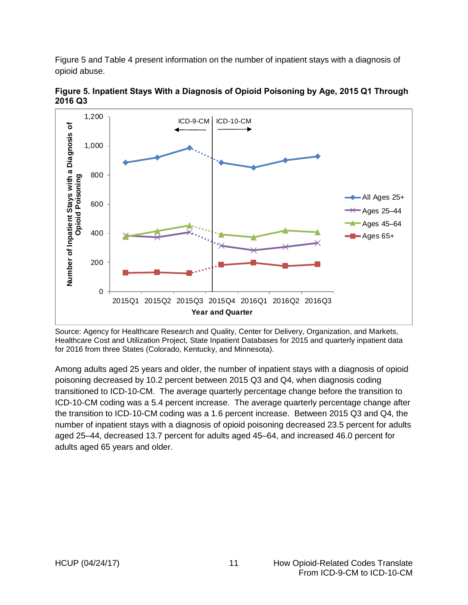Figure 5 and Table 4 present information on the number of inpatient stays with a diagnosis of opioid abuse.



<span id="page-14-0"></span>**2016 Q3**

Source: Agency for Healthcare Research and Quality, Center for Delivery, Organization, and Markets, Healthcare Cost and Utilization Project, State Inpatient Databases for 2015 and quarterly inpatient data for 2016 from three States (Colorado, Kentucky, and Minnesota).

Among adults aged 25 years and older, the number of inpatient stays with a diagnosis of opioid poisoning decreased by 10.2 percent between 2015 Q3 and Q4, when diagnosis coding transitioned to ICD-10-CM. The average quarterly percentage change before the transition to ICD-10-CM coding was a 5.4 percent increase. The average quarterly percentage change after the transition to ICD-10-CM coding was a 1.6 percent increase. Between 2015 Q3 and Q4, the number of inpatient stays with a diagnosis of opioid poisoning decreased 23.5 percent for adults aged 25–44, decreased 13.7 percent for adults aged 45–64, and increased 46.0 percent for adults aged 65 years and older.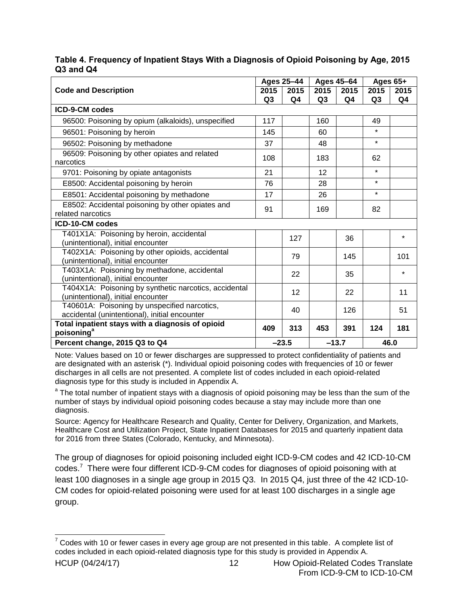#### <span id="page-15-0"></span>**Table 4. Frequency of Inpatient Stays With a Diagnosis of Opioid Poisoning by Age, 2015 Q3 and Q4**

|                                                                                                            | Ages 25-44     |      | <b>Ages 45-64</b> |         | Ages 65+       |                |
|------------------------------------------------------------------------------------------------------------|----------------|------|-------------------|---------|----------------|----------------|
| <b>Code and Description</b>                                                                                | 2015           | 2015 | 2015              | 2015    | 2015           | 2015           |
|                                                                                                            | Q <sub>3</sub> | Q4   | Q <sub>3</sub>    | Q4      | Q <sub>3</sub> | Q <sub>4</sub> |
| ICD-9-CM codes                                                                                             |                |      |                   |         |                |                |
| 96500: Poisoning by opium (alkaloids), unspecified                                                         | 117            |      | 160               |         | 49             |                |
| 96501: Poisoning by heroin                                                                                 | 145            |      | 60                |         | $\star$        |                |
| 96502: Poisoning by methadone                                                                              | 37             |      | 48                |         | $\star$        |                |
| 96509: Poisoning by other opiates and related<br>narcotics                                                 | 108            |      | 183               |         | 62             |                |
| 21<br>9701: Poisoning by opiate antagonists<br>12                                                          |                |      |                   | $\star$ |                |                |
| E8500: Accidental poisoning by heroin                                                                      | 76             |      | 28                |         | $\star$        |                |
| E8501: Accidental poisoning by methadone                                                                   | 17             |      | 26                |         | $\star$        |                |
| E8502: Accidental poisoning by other opiates and<br>related narcotics                                      | 91             |      | 169               |         | 82             |                |
| ICD-10-CM codes                                                                                            |                |      |                   |         |                |                |
| T401X1A: Poisoning by heroin, accidental<br>(unintentional), initial encounter                             |                | 127  |                   | 36      |                | $\star$        |
| T402X1A: Poisoning by other opioids, accidental<br>(unintentional), initial encounter                      |                | 79   |                   | 145     |                | 101            |
| T403X1A: Poisoning by methadone, accidental<br>22<br>35<br>(unintentional), initial encounter              |                |      | $\star$           |         |                |                |
| T404X1A: Poisoning by synthetic narcotics, accidental<br>(unintentional), initial encounter                |                | 12   |                   | 22      |                | 11             |
| T40601A: Poisoning by unspecified narcotics,<br>40<br>126<br>accidental (unintentional), initial encounter |                |      |                   |         | 51             |                |
| Total inpatient stays with a diagnosis of opioid<br>poisoning <sup>a</sup>                                 | 409            | 313  | 453               | 391     | 124            | 181            |
| Percent change, 2015 Q3 to Q4                                                                              | $-23.5$        |      |                   | $-13.7$ | 46.0           |                |

Note: Values based on 10 or fewer discharges are suppressed to protect confidentiality of patients and are designated with an asterisk (\*). Individual opioid poisoning codes with frequencies of 10 or fewer discharges in all cells are not presented. A complete list of codes included in each opioid-related diagnosis type for this study is included in Appendix A.

<sup>a</sup> The total number of inpatient stays with a diagnosis of opioid poisoning may be less than the sum of the number of stays by individual opioid poisoning codes because a stay may include more than one diagnosis.

Source: Agency for Healthcare Research and Quality, Center for Delivery, Organization, and Markets, Healthcare Cost and Utilization Project, State Inpatient Databases for 2015 and quarterly inpatient data for 2016 from three States (Colorado, Kentucky, and Minnesota).

The group of diagnoses for opioid poisoning included eight ICD-9-CM codes and 42 ICD-10-CM codes.<sup>7</sup> There were four different ICD-9-CM codes for diagnoses of opioid poisoning with at least 100 diagnoses in a single age group in 2015 Q3. In 2015 Q4, just three of the 42 ICD-10- CM codes for opioid-related poisoning were used for at least 100 discharges in a single age group.

  $7$  Codes with 10 or fewer cases in every age group are not presented in this table. A complete list of codes included in each opioid-related diagnosis type for this study is provided in Appendix A.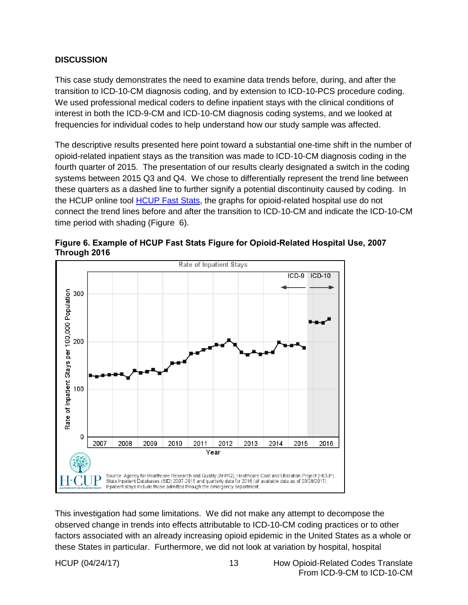#### <span id="page-16-0"></span>**DISCUSSION**

This case study demonstrates the need to examine data trends before, during, and after the transition to ICD-10-CM diagnosis coding, and by extension to ICD-10-PCS procedure coding. We used professional medical coders to define inpatient stays with the clinical conditions of interest in both the ICD-9-CM and ICD-10-CM diagnosis coding systems, and we looked at frequencies for individual codes to help understand how our study sample was affected.

The descriptive results presented here point toward a substantial one-time shift in the number of opioid-related inpatient stays as the transition was made to ICD-10-CM diagnosis coding in the fourth quarter of 2015. The presentation of our results clearly designated a switch in the coding systems between 2015 Q3 and Q4. We chose to differentially represent the trend line between these quarters as a dashed line to further signify a potential discontinuity caused by coding. In the HCUP online tool **HCUP Fast Stats**, the graphs for opioid-related hospital use do not connect the trend lines before and after the transition to ICD-10-CM and indicate the ICD-10-CM time period with shading (Figure 6).



<span id="page-16-1"></span>**Figure 6. Example of HCUP Fast Stats Figure for Opioid-Related Hospital Use, 2007 Through 2016**

This investigation had some limitations. We did not make any attempt to decompose the observed change in trends into effects attributable to ICD-10-CM coding practices or to other factors associated with an already increasing opioid epidemic in the United States as a whole or these States in particular. Furthermore, we did not look at variation by hospital, hospital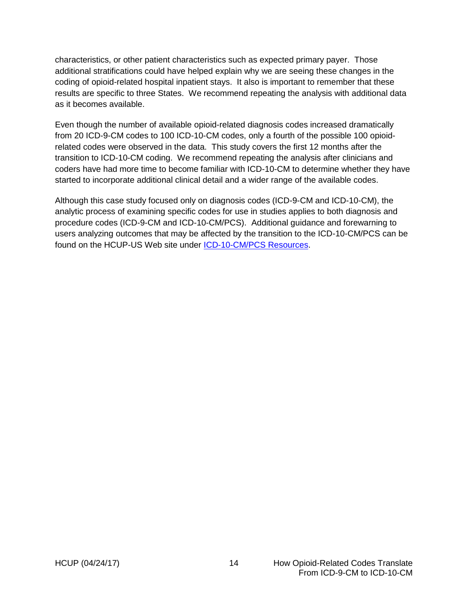characteristics, or other patient characteristics such as expected primary payer. Those additional stratifications could have helped explain why we are seeing these changes in the coding of opioid-related hospital inpatient stays. It also is important to remember that these results are specific to three States. We recommend repeating the analysis with additional data as it becomes available.

Even though the number of available opioid-related diagnosis codes increased dramatically from 20 ICD-9-CM codes to 100 ICD-10-CM codes, only a fourth of the possible 100 opioidrelated codes were observed in the data. This study covers the first 12 months after the transition to ICD-10-CM coding. We recommend repeating the analysis after clinicians and coders have had more time to become familiar with ICD-10-CM to determine whether they have started to incorporate additional clinical detail and a wider range of the available codes.

Although this case study focused only on diagnosis codes (ICD-9-CM and ICD-10-CM), the analytic process of examining specific codes for use in studies applies to both diagnosis and procedure codes (ICD-9-CM and ICD-10-CM/PCS). Additional guidance and forewarning to users analyzing outcomes that may be affected by the transition to the ICD-10-CM/PCS can be found on the HCUP-US Web site under **ICD-10-CM/PCS Resources**.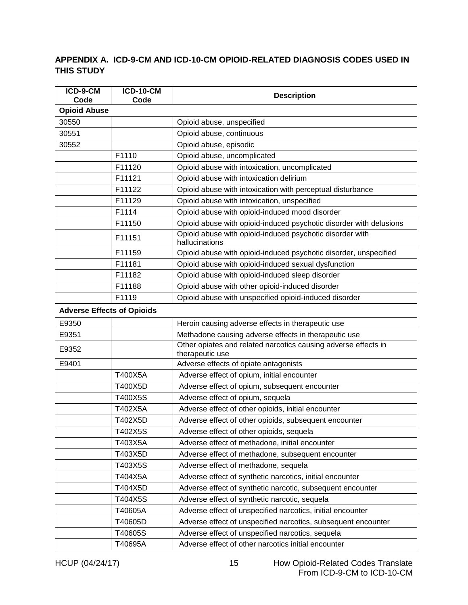### <span id="page-18-0"></span>**APPENDIX A. ICD-9-CM AND ICD-10-CM OPIOID-RELATED DIAGNOSIS CODES USED IN THIS STUDY**

| ICD-9-CM<br>Code                  | <b>ICD-10-CM</b><br>Code | <b>Description</b>                                                                |
|-----------------------------------|--------------------------|-----------------------------------------------------------------------------------|
| <b>Opioid Abuse</b>               |                          |                                                                                   |
| 30550                             |                          | Opioid abuse, unspecified                                                         |
| 30551                             |                          | Opioid abuse, continuous                                                          |
| 30552                             |                          | Opioid abuse, episodic                                                            |
|                                   | F1110                    | Opioid abuse, uncomplicated                                                       |
|                                   | F11120                   | Opioid abuse with intoxication, uncomplicated                                     |
|                                   | F11121                   | Opioid abuse with intoxication delirium                                           |
|                                   | F11122                   | Opioid abuse with intoxication with perceptual disturbance                        |
|                                   | F11129                   | Opioid abuse with intoxication, unspecified                                       |
|                                   | F1114                    | Opioid abuse with opioid-induced mood disorder                                    |
|                                   | F11150                   | Opioid abuse with opioid-induced psychotic disorder with delusions                |
|                                   | F11151                   | Opioid abuse with opioid-induced psychotic disorder with<br>hallucinations        |
|                                   | F11159                   | Opioid abuse with opioid-induced psychotic disorder, unspecified                  |
|                                   | F11181                   | Opioid abuse with opioid-induced sexual dysfunction                               |
|                                   | F11182                   | Opioid abuse with opioid-induced sleep disorder                                   |
|                                   | F11188                   | Opioid abuse with other opioid-induced disorder                                   |
|                                   | F1119                    | Opioid abuse with unspecified opioid-induced disorder                             |
| <b>Adverse Effects of Opioids</b> |                          |                                                                                   |
| E9350                             |                          | Heroin causing adverse effects in therapeutic use                                 |
| E9351                             |                          | Methadone causing adverse effects in therapeutic use                              |
| E9352                             |                          | Other opiates and related narcotics causing adverse effects in<br>therapeutic use |
| E9401                             |                          | Adverse effects of opiate antagonists                                             |
|                                   | T400X5A                  | Adverse effect of opium, initial encounter                                        |
|                                   | T400X5D                  | Adverse effect of opium, subsequent encounter                                     |
|                                   | T400X5S                  | Adverse effect of opium, sequela                                                  |
|                                   | T402X5A                  | Adverse effect of other opioids, initial encounter                                |
|                                   | T402X5D                  | Adverse effect of other opioids, subsequent encounter                             |
|                                   | T402X5S                  | Adverse effect of other opioids, sequela                                          |
|                                   | T403X5A                  | Adverse effect of methadone, initial encounter                                    |
|                                   | T403X5D                  | Adverse effect of methadone, subsequent encounter                                 |
|                                   | T403X5S                  | Adverse effect of methadone, sequela                                              |
|                                   | T404X5A                  | Adverse effect of synthetic narcotics, initial encounter                          |
|                                   | T404X5D                  | Adverse effect of synthetic narcotic, subsequent encounter                        |
|                                   | T404X5S                  | Adverse effect of synthetic narcotic, sequela                                     |
|                                   | T40605A                  | Adverse effect of unspecified narcotics, initial encounter                        |
|                                   | T40605D                  | Adverse effect of unspecified narcotics, subsequent encounter                     |
|                                   | T40605S                  | Adverse effect of unspecified narcotics, sequela                                  |
|                                   | T40695A                  | Adverse effect of other narcotics initial encounter                               |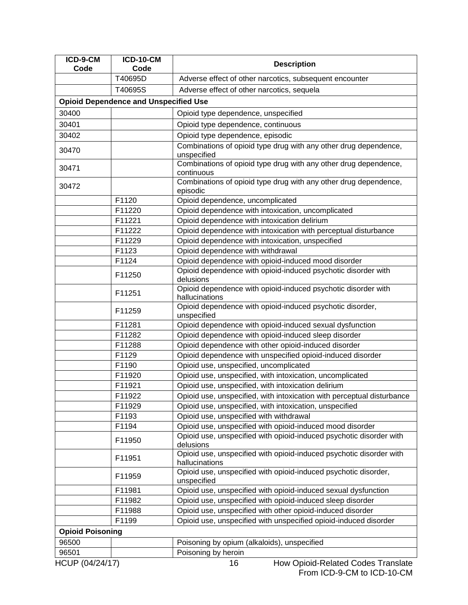| ICD-9-CM<br>Code        | <b>ICD-10-CM</b><br>Code                     | <b>Description</b>                                                                    |
|-------------------------|----------------------------------------------|---------------------------------------------------------------------------------------|
|                         | T40695D                                      | Adverse effect of other narcotics, subsequent encounter                               |
|                         | T40695S                                      | Adverse effect of other narcotics, sequela                                            |
|                         | <b>Opioid Dependence and Unspecified Use</b> |                                                                                       |
| 30400                   |                                              | Opioid type dependence, unspecified                                                   |
| 30401                   |                                              | Opioid type dependence, continuous                                                    |
| 30402                   |                                              | Opioid type dependence, episodic                                                      |
|                         |                                              | Combinations of opioid type drug with any other drug dependence,                      |
| 30470                   |                                              | unspecified                                                                           |
| 30471                   |                                              | Combinations of opioid type drug with any other drug dependence,<br>continuous        |
| 30472                   |                                              | Combinations of opioid type drug with any other drug dependence,<br>episodic          |
|                         | F1120                                        | Opioid dependence, uncomplicated                                                      |
|                         | F11220                                       | Opioid dependence with intoxication, uncomplicated                                    |
|                         | F11221                                       | Opioid dependence with intoxication delirium                                          |
|                         | F11222                                       | Opioid dependence with intoxication with perceptual disturbance                       |
|                         | F11229                                       | Opioid dependence with intoxication, unspecified                                      |
|                         | F1123                                        | Opioid dependence with withdrawal                                                     |
|                         | F1124                                        | Opioid dependence with opioid-induced mood disorder                                   |
|                         | F11250                                       | Opioid dependence with opioid-induced psychotic disorder with<br>delusions            |
|                         | F11251                                       | Opioid dependence with opioid-induced psychotic disorder with<br>hallucinations       |
|                         | F11259                                       | Opioid dependence with opioid-induced psychotic disorder,<br>unspecified              |
|                         | F11281                                       | Opioid dependence with opioid-induced sexual dysfunction                              |
|                         | F11282                                       | Opioid dependence with opioid-induced sleep disorder                                  |
|                         | F11288                                       | Opioid dependence with other opioid-induced disorder                                  |
|                         | F1129                                        | Opioid dependence with unspecified opioid-induced disorder                            |
|                         | F1190                                        | Opioid use, unspecified, uncomplicated                                                |
|                         | F11920                                       | Opioid use, unspecified, with intoxication, uncomplicated                             |
|                         | F11921                                       | Opioid use, unspecified, with intoxication delirium                                   |
|                         | F11922                                       | Opioid use, unspecified, with intoxication with perceptual disturbance                |
|                         | F11929                                       | Opioid use, unspecified, with intoxication, unspecified                               |
|                         | F1193                                        | Opioid use, unspecified with withdrawal                                               |
|                         | F1194                                        | Opioid use, unspecified with opioid-induced mood disorder                             |
|                         | F11950                                       | Opioid use, unspecified with opioid-induced psychotic disorder with<br>delusions      |
|                         | F11951                                       | Opioid use, unspecified with opioid-induced psychotic disorder with<br>hallucinations |
|                         | F11959                                       | Opioid use, unspecified with opioid-induced psychotic disorder,<br>unspecified        |
|                         | F11981                                       | Opioid use, unspecified with opioid-induced sexual dysfunction                        |
|                         | F11982                                       | Opioid use, unspecified with opioid-induced sleep disorder                            |
|                         | F11988                                       | Opioid use, unspecified with other opioid-induced disorder                            |
|                         | F1199                                        | Opioid use, unspecified with unspecified opioid-induced disorder                      |
| <b>Opioid Poisoning</b> |                                              |                                                                                       |
| 96500                   |                                              | Poisoning by opium (alkaloids), unspecified                                           |
| 96501                   |                                              | Poisoning by heroin                                                                   |
| HCUP (04/24/17)         |                                              | How Opioid-Related Codes Translate<br>16                                              |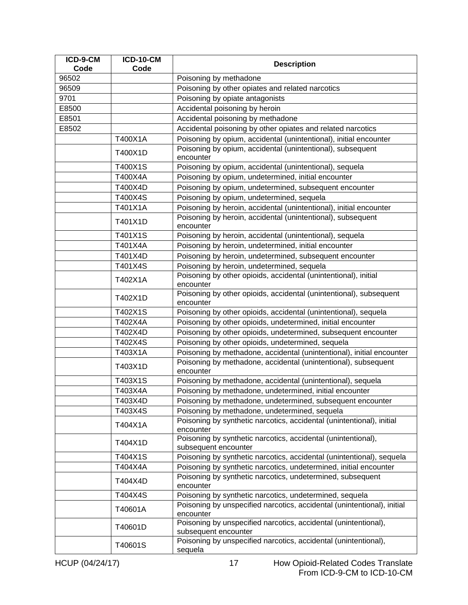| ICD-9-CM<br>Code | <b>ICD-10-CM</b><br>Code | <b>Description</b>                                                                      |
|------------------|--------------------------|-----------------------------------------------------------------------------------------|
| 96502            |                          | Poisoning by methadone                                                                  |
| 96509            |                          | Poisoning by other opiates and related narcotics                                        |
| 9701             |                          | Poisoning by opiate antagonists                                                         |
| E8500            |                          | Accidental poisoning by heroin                                                          |
| E8501            |                          | Accidental poisoning by methadone                                                       |
| E8502            |                          | Accidental poisoning by other opiates and related narcotics                             |
|                  | T400X1A                  | Poisoning by opium, accidental (unintentional), initial encounter                       |
|                  | T400X1D                  | Poisoning by opium, accidental (unintentional), subsequent<br>encounter                 |
|                  | T400X1S                  | Poisoning by opium, accidental (unintentional), sequela                                 |
|                  | T400X4A                  | Poisoning by opium, undetermined, initial encounter                                     |
|                  | T400X4D                  | Poisoning by opium, undetermined, subsequent encounter                                  |
|                  | T400X4S                  | Poisoning by opium, undetermined, sequela                                               |
|                  | T401X1A                  | Poisoning by heroin, accidental (unintentional), initial encounter                      |
|                  |                          | Poisoning by heroin, accidental (unintentional), subsequent                             |
|                  | T401X1D                  | encounter                                                                               |
|                  | T401X1S                  | Poisoning by heroin, accidental (unintentional), sequela                                |
|                  | T401X4A                  | Poisoning by heroin, undetermined, initial encounter                                    |
|                  | T401X4D                  | Poisoning by heroin, undetermined, subsequent encounter                                 |
|                  | T401X4S                  | Poisoning by heroin, undetermined, sequela                                              |
|                  |                          | Poisoning by other opioids, accidental (unintentional), initial                         |
|                  | T402X1A                  | encounter                                                                               |
|                  | T402X1D                  | Poisoning by other opioids, accidental (unintentional), subsequent<br>encounter         |
|                  | T402X1S                  | Poisoning by other opioids, accidental (unintentional), sequela                         |
|                  | T402X4A                  | Poisoning by other opioids, undetermined, initial encounter                             |
|                  | T402X4D                  | Poisoning by other opioids, undetermined, subsequent encounter                          |
|                  | T402X4S                  | Poisoning by other opioids, undetermined, sequela                                       |
|                  | T403X1A                  | Poisoning by methadone, accidental (unintentional), initial encounter                   |
|                  | T403X1D                  | Poisoning by methadone, accidental (unintentional), subsequent<br>encounter             |
|                  | T403X1S                  | Poisoning by methadone, accidental (unintentional), sequela                             |
|                  | T403X4A                  | Poisoning by methadone, undetermined, initial encounter                                 |
|                  | T403X4D                  | Poisoning by methadone, undetermined, subsequent encounter                              |
|                  | T403X4S                  | Poisoning by methadone, undetermined, sequela                                           |
|                  | T404X1A                  | Poisoning by synthetic narcotics, accidental (unintentional), initial<br>encounter      |
|                  | T404X1D                  | Poisoning by synthetic narcotics, accidental (unintentional),<br>subsequent encounter   |
|                  | T404X1S                  | Poisoning by synthetic narcotics, accidental (unintentional), sequela                   |
|                  | T404X4A                  | Poisoning by synthetic narcotics, undetermined, initial encounter                       |
|                  | T404X4D                  | Poisoning by synthetic narcotics, undetermined, subsequent<br>encounter                 |
|                  | T404X4S                  | Poisoning by synthetic narcotics, undetermined, sequela                                 |
|                  |                          | Poisoning by unspecified narcotics, accidental (unintentional), initial                 |
|                  | T40601A                  | encounter                                                                               |
|                  | T40601D                  | Poisoning by unspecified narcotics, accidental (unintentional),<br>subsequent encounter |
|                  | T40601S                  | Poisoning by unspecified narcotics, accidental (unintentional),<br>sequela              |